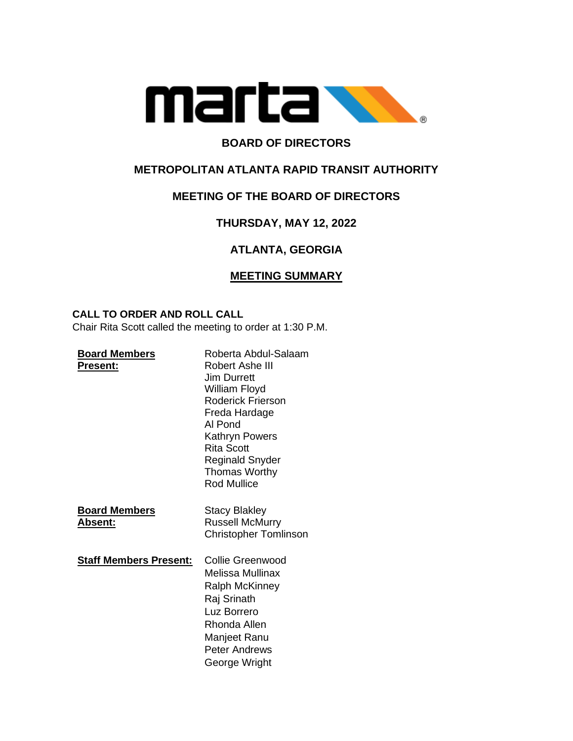

# **BOARD OF DIRECTORS**

# **METROPOLITAN ATLANTA RAPID TRANSIT AUTHORITY**

# **MEETING OF THE BOARD OF DIRECTORS**

# **THURSDAY, MAY 12, 2022**

# **ATLANTA, GEORGIA**

## **MEETING SUMMARY**

#### **CALL TO ORDER AND ROLL CALL**

Chair Rita Scott called the meeting to order at 1:30 P.M.

| <b>Board Members</b>          | Roberta Abdul-Salaam         |
|-------------------------------|------------------------------|
| <b>Present:</b>               | Robert Ashe III              |
|                               | Jim Durrett                  |
|                               | William Floyd                |
|                               | Roderick Frierson            |
|                               | Freda Hardage                |
|                               | Al Pond                      |
|                               | <b>Kathryn Powers</b>        |
|                               | <b>Rita Scott</b>            |
|                               | <b>Reginald Snyder</b>       |
|                               | <b>Thomas Worthy</b>         |
|                               | Rod Mullice                  |
|                               |                              |
| <b>Board Members</b>          | <b>Stacy Blakley</b>         |
| <u> Absent:</u>               | <b>Russell McMurry</b>       |
|                               | <b>Christopher Tomlinson</b> |
| <u>Staff Members Present:</u> | Collie Greenwood             |
|                               | Melissa Mullinax             |
|                               | <b>Ralph McKinney</b>        |
|                               | Raj Srinath                  |
|                               | Luz Borrero                  |
|                               | Rhonda Allen                 |
|                               | Manjeet Ranu                 |
|                               | <b>Peter Andrews</b>         |
|                               |                              |
|                               | George Wright                |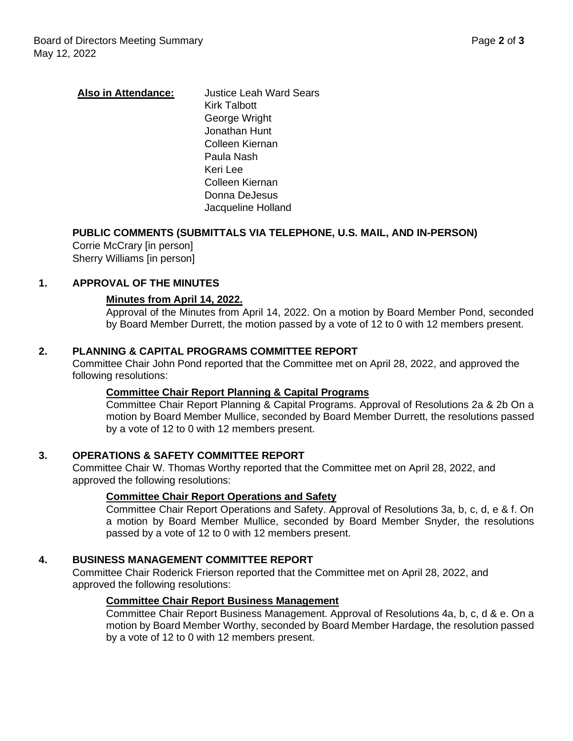## **Also in Attendance:** Justice Leah Ward Sears

Kirk Talbott George Wright Jonathan Hunt Colleen Kiernan Paula Nash Keri Lee Colleen Kiernan Donna DeJesus Jacqueline Holland

## **PUBLIC COMMENTS (SUBMITTALS VIA TELEPHONE, U.S. MAIL, AND IN-PERSON)**

Corrie McCrary [in person] Sherry Williams [in person]

## **1. APPROVAL OF THE MINUTES**

#### **Minutes from April 14, 2022.**

Approval of the Minutes from April 14, 2022. On a motion by Board Member Pond, seconded by Board Member Durrett, the motion passed by a vote of 12 to 0 with 12 members present.

## **2. PLANNING & CAPITAL PROGRAMS COMMITTEE REPORT**

Committee Chair John Pond reported that the Committee met on April 28, 2022, and approved the following resolutions:

#### **Committee Chair Report Planning & Capital Programs**

Committee Chair Report Planning & Capital Programs. Approval of Resolutions 2a & 2b On a motion by Board Member Mullice, seconded by Board Member Durrett, the resolutions passed by a vote of 12 to 0 with 12 members present.

#### **3. OPERATIONS & SAFETY COMMITTEE REPORT**

Committee Chair W. Thomas Worthy reported that the Committee met on April 28, 2022, and approved the following resolutions:

#### **Committee Chair Report Operations and Safety**

Committee Chair Report Operations and Safety. Approval of Resolutions 3a, b, c, d, e & f. On a motion by Board Member Mullice, seconded by Board Member Snyder, the resolutions passed by a vote of 12 to 0 with 12 members present.

#### **4. BUSINESS MANAGEMENT COMMITTEE REPORT**

Committee Chair Roderick Frierson reported that the Committee met on April 28, 2022, and approved the following resolutions:

#### **Committee Chair Report Business Management**

Committee Chair Report Business Management. Approval of Resolutions 4a, b, c, d & e. On a motion by Board Member Worthy, seconded by Board Member Hardage, the resolution passed by a vote of 12 to 0 with 12 members present.